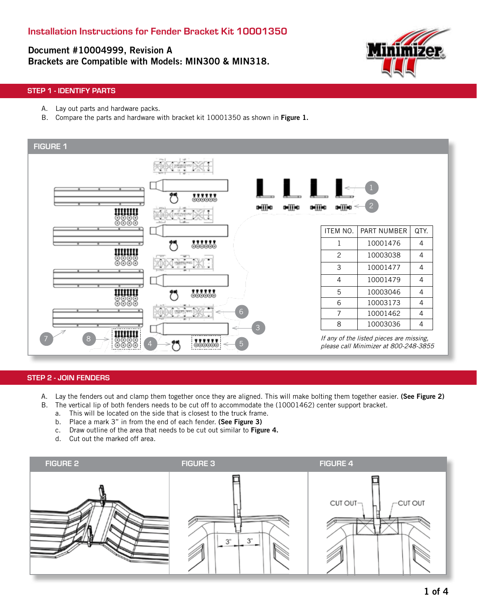# Document #10004999, Revision A Brackets are Compatible with Models: MIN300 & MIN318.



### STEP 1 - IDENTIFY PARTS

- A. Lay out parts and hardware packs.
- B. Compare the parts and hardware with bracket kit 10001350 as shown in Figure 1.



#### STEP 2 - JOIN FENDERS

- A. Lay the fenders out and clamp them together once they are aligned. This will make bolting them together easier. (See Figure 2)
- B. The vertical lip of both fenders needs to be cut off to accommodate the (10001462) center support bracket.
	- a. This will be located on the side that is closest to the truck frame.
	- b. Place a mark 3" in from the end of each fender. (See Figure 3)
	- c. Draw outline of the area that needs to be cut out similar to Figure 4.
	- d. Cut out the marked off area.

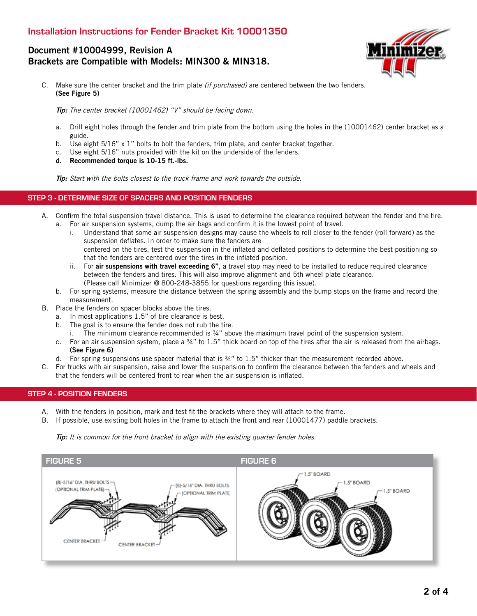## Installation Instructions for Fender Bracket Kit 10001350

## Document #10004999, Revision A Brackets are Compatible with Models: MIN300 & MIN318.



C. Make sure the center bracket and the trim plate (if purchased) are centered between the two fenders. (See Figure 5)

Tip: The center bracket (10001462) "V" should be facing down.

- a. Drill eight holes through the fender and trim plate from the bottom using the holes in the (10001462) center bracket as a guide.
- b. Use eight 5/16" x 1" bolts to bolt the fenders, trim plate, and center bracket together.
- c. Use eight 5/16" nuts provided with the kit on the underside of the fenders.
- d. Recommended torque is 10-15 ft.-lbs.

Tip: Start with the bolts closest to the truck frame and work towards the outside.

#### STEP 3 - DETERMINE SIZE OF SPACERS AND POSITION FENDERS

- A. Confirm the total suspension travel distance. This is used to determine the clearance required between the fender and the tire.
	- a. For air suspension systems, dump the air bags and confirm it is the lowest point of travel.
		- i. Understand that some air suspension designs may cause the wheels to roll closer to the fender (roll forward) as the suspension deflates. In order to make sure the fenders are centered on the tires, test the suspension in the inflated and deflated positions to determine the best positioning so that the fenders are centered over the tires in the inflated position.
		- ii. For air suspensions with travel exceeding 6", a travel stop may need to be installed to reduce required clearance between the fenders and tires. This will also improve alignment and 5th wheel plate clearance. (Please call Minimizer @ 800-248-3855 for questions regarding this issue).
	- b. For spring systems, measure the distance between the spring assembly and the bump stops on the frame and record the measurement.
- B. Place the fenders on spacer blocks above the tires.
	- a. In most applications 1.5" of tire clearance is best.
	- b. The goal is to ensure the fender does not rub the tire.
		- i. The minimum clearance recommended is 34" above the maximum travel point of the suspension system.
	- c. For an air suspension system, place a 34" to 1.5" thick board on top of the tires after the air is released from the airbags. (See Figure 6)
	- d. For spring suspensions use spacer material that is ¾" to 1.5" thicker than the measurement recorded above.
- C. For trucks with air suspension, raise and lower the suspension to confirm the clearance between the fenders and wheels and that the fenders will be centered front to rear when the air suspension is inflated.

#### STEP 4 - POSITION FENDERS

- A. With the fenders in position, mark and test fit the brackets where they will attach to the frame.
- B. If possible, use existing bolt holes in the frame to attach the front and rear (10001477) paddle brackets.

Tip: It is common for the front bracket to align with the existing quarter fender holes.

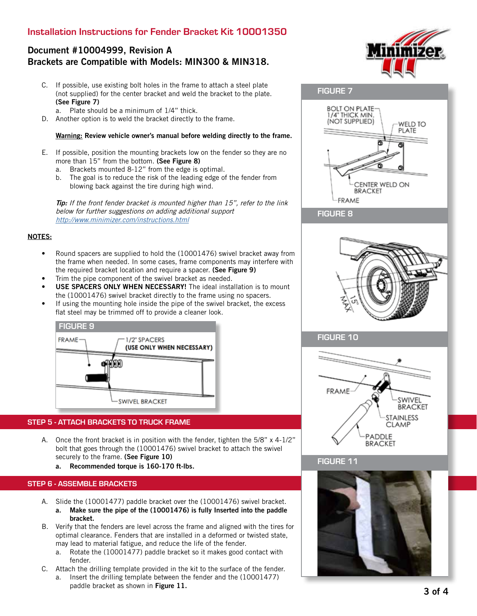## Installation Instructions for Fender Bracket Kit 10001350

## Document #10004999, Revision A Brackets are Compatible with Models: MIN300 & MIN318.

- C. If possible, use existing bolt holes in the frame to attach a steel plate (not supplied) for the center bracket and weld the bracket to the plate. (See Figure 7)
	- a. Plate should be a minimum of 1/4" thick.
- D. Another option is to weld the bracket directly to the frame.

#### Warning: Review vehicle owner's manual before welding directly to the frame.

- E. If possible, position the mounting brackets low on the fender so they are no more than 15" from the bottom. (See Figure 8)
	- a. Brackets mounted 8-12" from the edge is optimal.
	- b. The goal is to reduce the risk of the leading edge of the fender from blowing back against the tire during high wind.

**Tip:** If the front fender bracket is mounted higher than 15", refer to the link below for further suggestions on adding additional support http://www.minimizer.com/instructions.html

#### NOTES:

- Round spacers are supplied to hold the (10001476) swivel bracket away from the frame when needed. In some cases, frame components may interfere with the required bracket location and require a spacer. (See Figure 9)
- Trim the pipe component of the swivel bracket as needed.
- USE SPACERS ONLY WHEN NECESSARY! The ideal installation is to mount the (10001476) swivel bracket directly to the frame using no spacers.
- If using the mounting hole inside the pipe of the swivel bracket, the excess flat steel may be trimmed off to provide a cleaner look.



#### STEP 5 - ATTACH BRACKETS TO TRUCK FRAME

- A. Once the front bracket is in position with the fender, tighten the 5/8" x 4-1/2" bolt that goes through the (10001476) swivel bracket to attach the swivel securely to the frame. (See Figure 10)
	- a. Recommended torque is 160-170 ft-lbs.

#### STEP 6 - ASSEMBLE BRACKETS

- A. Slide the (10001477) paddle bracket over the (10001476) swivel bracket. a. Make sure the pipe of the (10001476) is fully Inserted into the paddle bracket.
- B. Verify that the fenders are level across the frame and aligned with the tires for optimal clearance. Fenders that are installed in a deformed or twisted state, may lead to material fatigue, and reduce the life of the fender.
	- a. Rotate the (10001477) paddle bracket so it makes good contact with fender.
- C. Attach the drilling template provided in the kit to the surface of the fender.
	- a. Insert the drilling template between the fender and the (10001477) paddle bracket as shown in Figure 11.





FIGURE 8



### FIGURE 10



### FIGURE 11